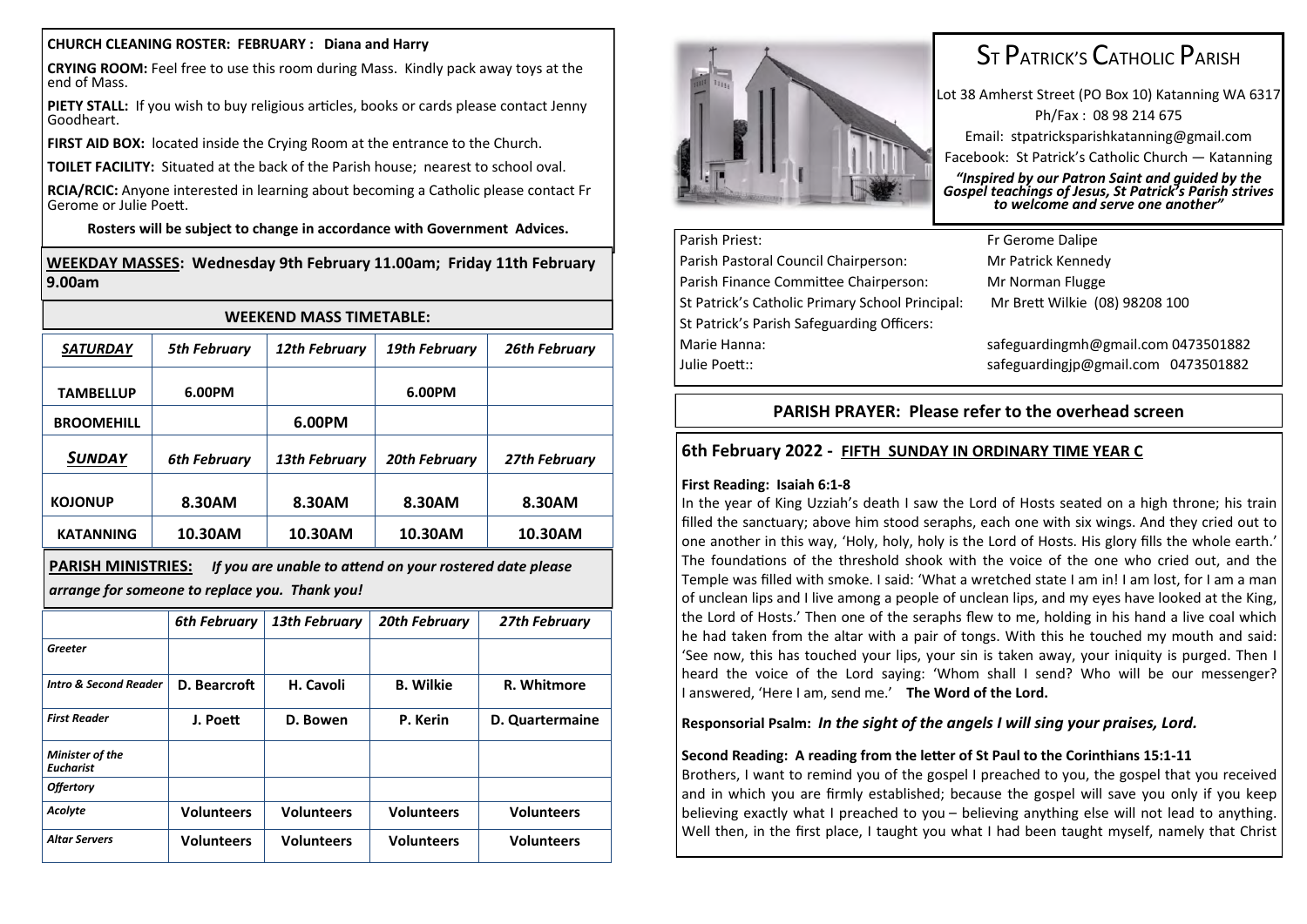#### **CHURCH CLEANING ROSTER: FEBRUARY : Diana and Harry**

**CRYING ROOM:** Feel free to use this room during Mass. Kindly pack away toys at the end of Mass.

**PIETY STALL:** If you wish to buy religious articles, books or cards please contact Jenny Goodheart.

**FIRST AID BOX:** located inside the Crying Room at the entrance to the Church.

**TOILET FACILITY:** Situated at the back of the Parish house; nearest to school oval.

**RCIA/RCIC:** Anyone interested in learning about becoming a Catholic please contact Fr Gerome or Julie Poett.

**Rosters will be subject to change in accordance with Government Advices.**

**WEEKDAY MASSES: Wednesday 9th February 11.00am; Friday 11th February 9.00am**

| <b>WEEKEND MASS TIMETABLE:</b>                                                                                                          |                     |                      |                      |                      |  |
|-----------------------------------------------------------------------------------------------------------------------------------------|---------------------|----------------------|----------------------|----------------------|--|
| <b>SATURDAY</b>                                                                                                                         | 5th February        | 12th February        | <b>19th February</b> | <b>26th February</b> |  |
| <b>TAMBELLUP</b>                                                                                                                        | 6.00PM              |                      | 6.00PM               |                      |  |
| <b>BROOMEHILL</b>                                                                                                                       |                     | 6.00PM               |                      |                      |  |
| SUNDAY                                                                                                                                  | <b>6th February</b> | <b>13th February</b> | <b>20th February</b> | 27th February        |  |
| <b>KOJONUP</b>                                                                                                                          | 8.30AM              | 8.30AM               | 8.30AM               | 8.30AM               |  |
| <b>KATANNING</b>                                                                                                                        | 10.30AM             | 10.30AM              | 10.30AM              | 10.30AM              |  |
| <b>PARISH MINISTRIES:</b><br>If you are unable to attend on your rostered date please<br>arrange for someone to replace you. Thank you! |                     |                      |                      |                      |  |
|                                                                                                                                         | <b>6th February</b> | <b>13th February</b> | <b>20th February</b> | 27th February        |  |
| Greeter                                                                                                                                 |                     |                      |                      |                      |  |
| <b>Intro &amp; Second Reader</b>                                                                                                        | D. Bearcroft        | H. Cavoli            | <b>B.</b> Wilkie     | R. Whitmore          |  |
| <b>First Reader</b>                                                                                                                     | J. Poett            | D. Bowen             | P. Kerin             | D. Quartermaine      |  |
| Minister of the<br><b>Eucharist</b>                                                                                                     |                     |                      |                      |                      |  |
| <b>Offertory</b>                                                                                                                        |                     |                      |                      |                      |  |
| <b>Acolyte</b>                                                                                                                          | <b>Volunteers</b>   | <b>Volunteers</b>    | <b>Volunteers</b>    | <b>Volunteers</b>    |  |
| <b>Altar Servers</b>                                                                                                                    | <b>Volunteers</b>   | <b>Volunteers</b>    | <b>Volunteers</b>    | <b>Volunteers</b>    |  |



# ST PATRICK'S CATHOLIC PARISH

Lot 38 Amherst Street (PO Box 10) Katanning WA 6317 Ph/Fax : 08 98 214 675 Email: stpatricksparishkatanning@gmail.com Facebook: St Patrick's Catholic Church — Katanning

*"Inspired by our Patron Saint and guided by the Gospel teachings of Jesus, St Patrick's Parish strives to welcome and serve one another"*

| Parish Priest:                                  | Fr Gerome Dalipe                    |
|-------------------------------------------------|-------------------------------------|
| Parish Pastoral Council Chairperson:            | Mr Patrick Kennedy                  |
| Parish Finance Committee Chairperson:           | Mr Norman Flugge                    |
| St Patrick's Catholic Primary School Principal: | Mr Brett Wilkie (08) 98208 100      |
| St Patrick's Parish Safeguarding Officers:      |                                     |
| Marie Hanna:                                    | safeguardingmh@gmail.com 0473501882 |
| Julie Poett::                                   | safeguardingip@gmail.com 0473501882 |
|                                                 |                                     |

#### **PARISH PRAYER: Please refer to the overhead screen**

#### **6th February 2022 - FIFTH SUNDAY IN ORDINARY TIME YEAR C**

#### **First Reading: Isaiah 6:1-8**

In the year of King Uzziah's death I saw the Lord of Hosts seated on a high throne; his train filled the sanctuary; above him stood seraphs, each one with six wings. And they cried out to one another in this way, 'Holy, holy, holy is the Lord of Hosts. His glory fills the whole earth.' The foundations of the threshold shook with the voice of the one who cried out, and the Temple was filled with smoke. I said: 'What a wretched state I am in! I am lost, for I am a man of unclean lips and I live among a people of unclean lips, and my eyes have looked at the King, the Lord of Hosts.' Then one of the seraphs flew to me, holding in his hand a live coal which he had taken from the altar with a pair of tongs. With this he touched my mouth and said: 'See now, this has touched your lips, your sin is taken away, your iniquity is purged. Then I heard the voice of the Lord saying: 'Whom shall I send? Who will be our messenger? I answered, 'Here I am, send me.' **The Word of the Lord.**

#### **Responsorial Psalm:** *In the sight of the angels I will sing your praises, Lord.*

#### **Second Reading: A reading from the letter of St Paul to the Corinthians 15:1-11**

Brothers, I want to remind you of the gospel I preached to you, the gospel that you received and in which you are firmly established; because the gospel will save you only if you keep believing exactly what I preached to you – believing anything else will not lead to anything. Well then, in the first place. I taught you what I had been taught myself, namely that Christ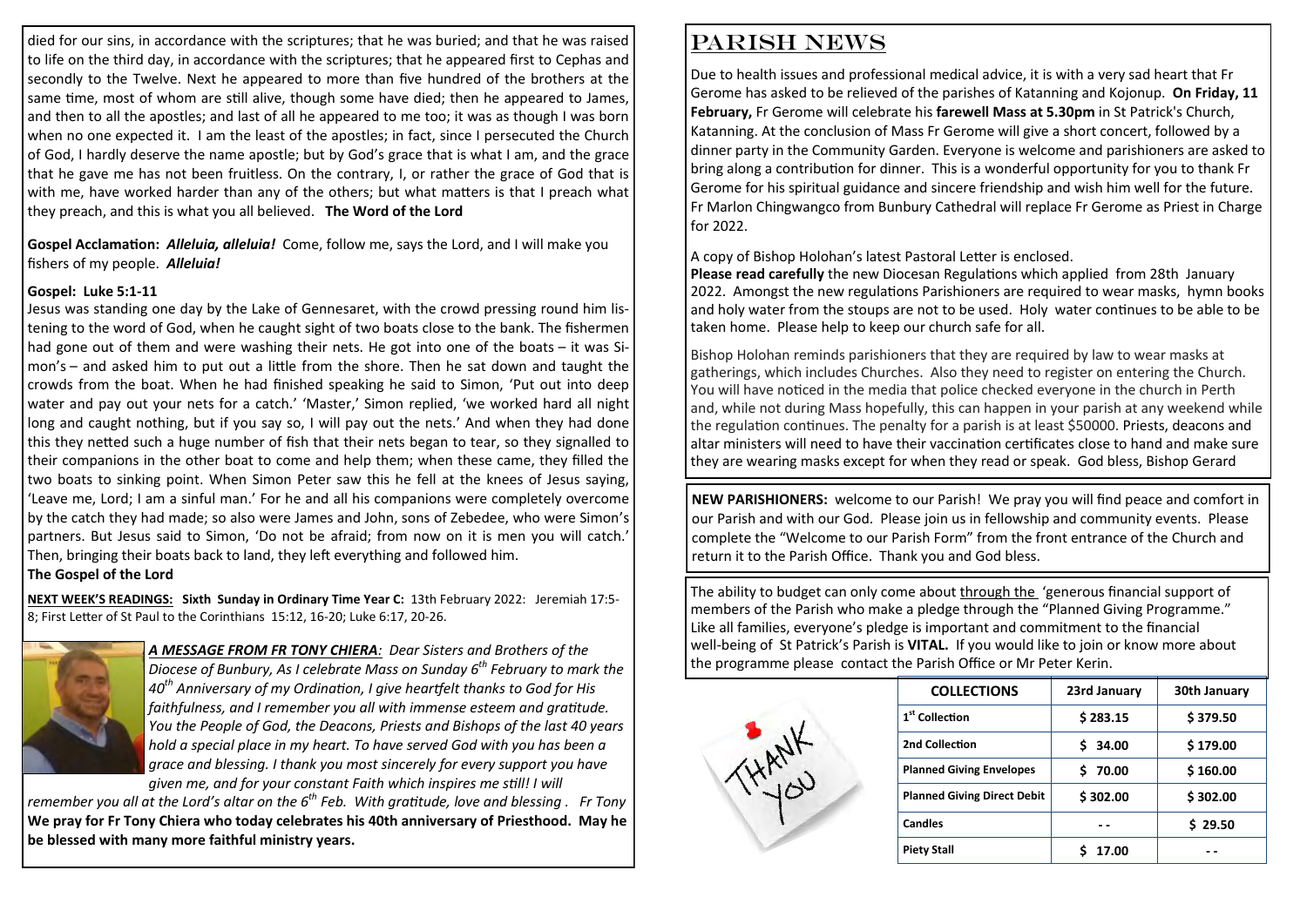died for our sins, in accordance with the scriptures; that he was buried; and that he was raised to life on the third day, in accordance with the scriptures; that he appeared first to Cephas and secondly to the Twelve. Next he appeared to more than five hundred of the brothers at the same time, most of whom are still alive, though some have died; then he appeared to James, and then to all the apostles; and last of all he appeared to me too; it was as though I was born when no one expected it. I am the least of the apostles; in fact, since I persecuted the Church of God, I hardly deserve the name apostle; but by God's grace that is what I am, and the grace that he gave me has not been fruitless. On the contrary, I, or rather the grace of God that is with me, have worked harder than any of the others; but what matters is that I preach what they preach, and this is what you all believed. **The Word of the Lord** 

**Gospel Acclamation:** *Alleluia, alleluia!* Come, follow me, says the Lord, and I will make you fishers of my people. *Alleluia!*

#### **Gospel: Luke 5:1-11**

Jesus was standing one day by the Lake of Gennesaret, with the crowd pressing round him listening to the word of God, when he caught sight of two boats close to the bank. The fishermen had gone out of them and were washing their nets. He got into one of the boats – it was Simon's – and asked him to put out a little from the shore. Then he sat down and taught the crowds from the boat. When he had finished speaking he said to Simon, 'Put out into deep water and pay out your nets for a catch.' 'Master,' Simon replied, 'we worked hard all night long and caught nothing, but if you say so, I will pay out the nets.' And when they had done this they netted such a huge number of fish that their nets began to tear, so they signalled to their companions in the other boat to come and help them; when these came, they filled the two boats to sinking point. When Simon Peter saw this he fell at the knees of Jesus saying, 'Leave me, Lord; I am a sinful man.' For he and all his companions were completely overcome by the catch they had made; so also were James and John, sons of Zebedee, who were Simon's partners. But Jesus said to Simon, 'Do not be afraid; from now on it is men you will catch.' Then, bringing their boats back to land, they left everything and followed him. **The Gospel of the Lord**

**NEXT WEEK'S READINGS: Sixth Sunday in Ordinary Time Year C:** 13th February 2022: Jeremiah 17:5- 8; First Letter of St Paul to the Corinthians 15:12, 16-20; Luke 6:17, 20-26.



*A MESSAGE FROM FR TONY CHIERA: Dear Sisters and Brothers of the Diocese of Bunbury, As I celebrate Mass on Sunday 6th February to mark the 40th Anniversary of my Ordination, I give heartfelt thanks to God for His faithfulness, and I remember you all with immense esteem and gratitude. You the People of God, the Deacons, Priests and Bishops of the last 40 years hold a special place in my heart. To have served God with you has been a grace and blessing. I thank you most sincerely for every support you have given me, and for your constant Faith which inspires me still! I will* 

*remember you all at the Lord's altar on the 6th Feb. With gratitude, love and blessing . Fr Tony* **We pray for Fr Tony Chiera who today celebrates his 40th anniversary of Priesthood. May he be blessed with many more faithful ministry years.**

## Parish News

Due to health issues and professional medical advice, it is with a very sad heart that Fr Gerome has asked to be relieved of the parishes of Katanning and Kojonup. **On Friday, 11 February,** Fr Gerome will celebrate his **farewell Mass at 5.30pm** in St Patrick's Church, Katanning. At the conclusion of Mass Fr Gerome will give a short concert, followed by a dinner party in the Community Garden. Everyone is welcome and parishioners are asked to bring along a contribution for dinner. This is a wonderful opportunity for you to thank Fr Gerome for his spiritual guidance and sincere friendship and wish him well for the future. Fr Marlon Chingwangco from Bunbury Cathedral will replace Fr Gerome as Priest in Charge for 2022.

A copy of Bishop Holohan's latest Pastoral Letter is enclosed.

**Please read carefully** the new Diocesan Regulations which applied from 28th January 2022. Amongst the new regulations Parishioners are required to wear masks, hymn books and holy water from the stoups are not to be used. Holy water continues to be able to be taken home. Please help to keep our church safe for all.

Bishop Holohan reminds parishioners that they are required by law to wear masks at gatherings, which includes Churches. Also they need to register on entering the Church. You will have noticed in the media that police checked everyone in the church in Perth and, while not during Mass hopefully, this can happen in your parish at any weekend while the regulation continues. The penalty for a parish is at least \$50000. Priests, deacons and altar ministers will need to have their vaccination certificates close to hand and make sure they are wearing masks except for when they read or speak. God bless, Bishop Gerard

**NEW PARISHIONERS:** welcome to our Parish! We pray you will find peace and comfort in our Parish and with our God. Please join us in fellowship and community events. Please complete the "Welcome to our Parish Form" from the front entrance of the Church and return it to the Parish Office. Thank you and God bless.

The ability to budget can only come about through the 'generous financial support of members of the Parish who make a pledge through the "Planned Giving Programme." Like all families, everyone's pledge is important and commitment to the financial well-being of St Patrick's Parish is **VITAL.** If you would like to join or know more about the programme please contact the Parish Office or Mr Peter Kerin.



| <b>COLLECTIONS</b>                 | 23rd January | 30th January |
|------------------------------------|--------------|--------------|
| 1 <sup>st</sup> Collection         | \$283.15     | \$379.50     |
| 2nd Collection                     | \$34.00      | \$179.00     |
| <b>Planned Giving Envelopes</b>    | \$70.00      | \$160.00     |
| <b>Planned Giving Direct Debit</b> | \$302.00     | \$302.00     |
| <b>Candles</b>                     |              | \$29.50      |
| <b>Piety Stall</b>                 | 17.00        |              |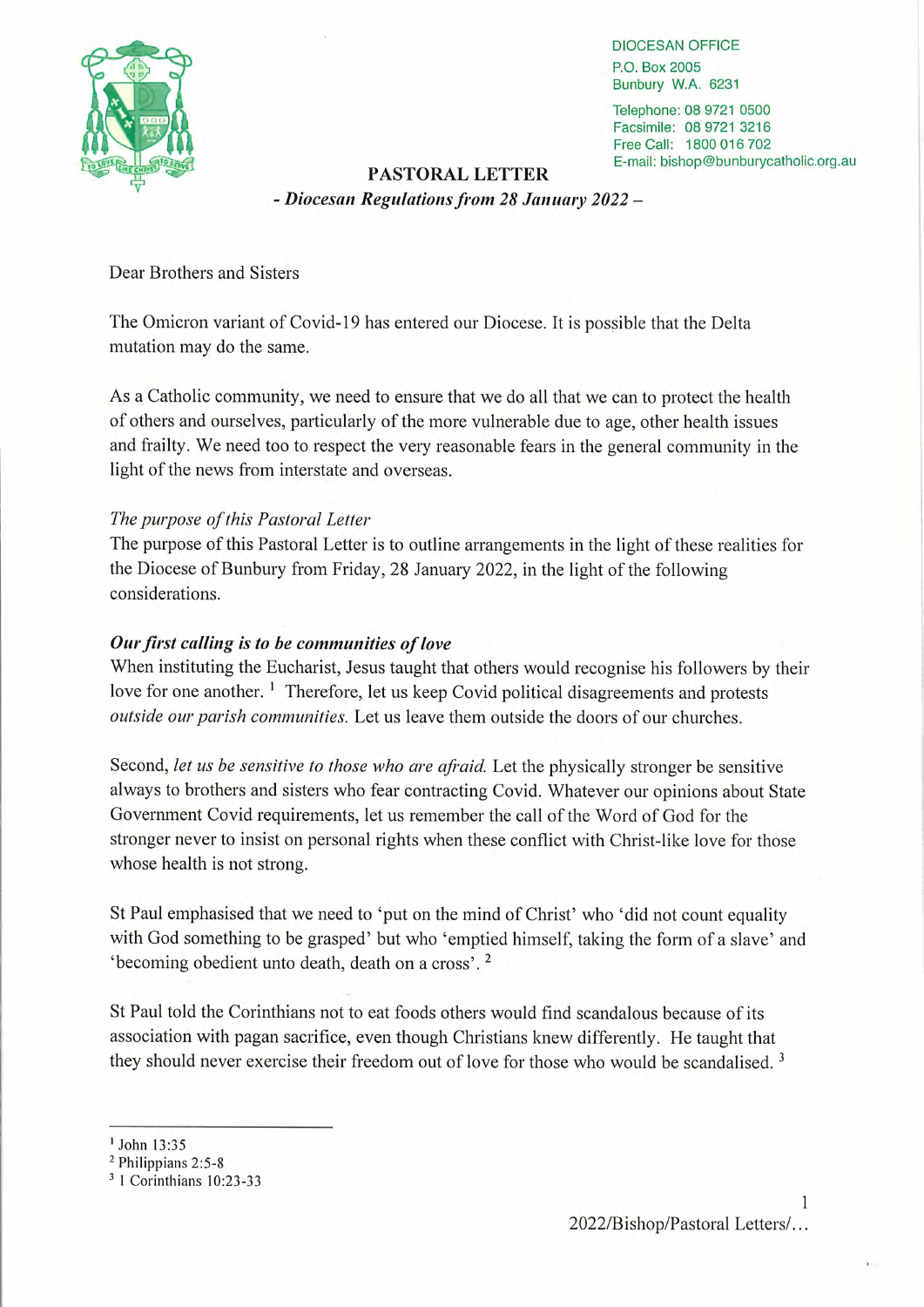

**DIOCESAN OFFICE** P.O. Box 2005

Bunbury W.A. 6231 Telephone: 08 9721 0500

Facsimile: 08 9721 3216 Free Call: 1800 016 702 E-mail: bishop@bunburycatholic.org.au

### **PASTORAL LETTER** - Diocesan Regulations from 28 January 2022 -

Dear Brothers and Sisters

The Omicron variant of Covid-19 has entered our Diocese. It is possible that the Delta mutation may do the same.

As a Catholic community, we need to ensure that we do all that we can to protect the health of others and ourselves, particularly of the more vulnerable due to age, other health issues and frailty. We need too to respect the very reasonable fears in the general community in the light of the news from interstate and overseas.

#### The purpose of this Pastoral Letter

The purpose of this Pastoral Letter is to outline arrangements in the light of these realities for the Diocese of Bunbury from Friday, 28 January 2022, in the light of the following considerations.

#### Our first calling is to be communities of love

When instituting the Eucharist, Jesus taught that others would recognise his followers by their love for one another. <sup>1</sup> Therefore, let us keep Covid political disagreements and protests outside our parish communities. Let us leave them outside the doors of our churches.

Second, let us be sensitive to those who are afraid. Let the physically stronger be sensitive always to brothers and sisters who fear contracting Covid. Whatever our opinions about State Government Covid requirements, let us remember the call of the Word of God for the stronger never to insist on personal rights when these conflict with Christ-like love for those whose health is not strong.

St Paul emphasised that we need to 'put on the mind of Christ' who 'did not count equality with God something to be grasped' but who 'emptied himself, taking the form of a slave' and 'becoming obedient unto death, death on a cross'.<sup>2</sup>

St Paul told the Corinthians not to eat foods others would find scandalous because of its association with pagan sacrifice, even though Christians knew differently. He taught that they should never exercise their freedom out of love for those who would be scandalised.<sup>3</sup>

 $\mathbf{1}$ 

<sup>&</sup>lt;sup>1</sup> John 13:35

<sup>&</sup>lt;sup>2</sup> Philippians 2:5-8

<sup>&</sup>lt;sup>3</sup> 1 Corinthians 10:23-33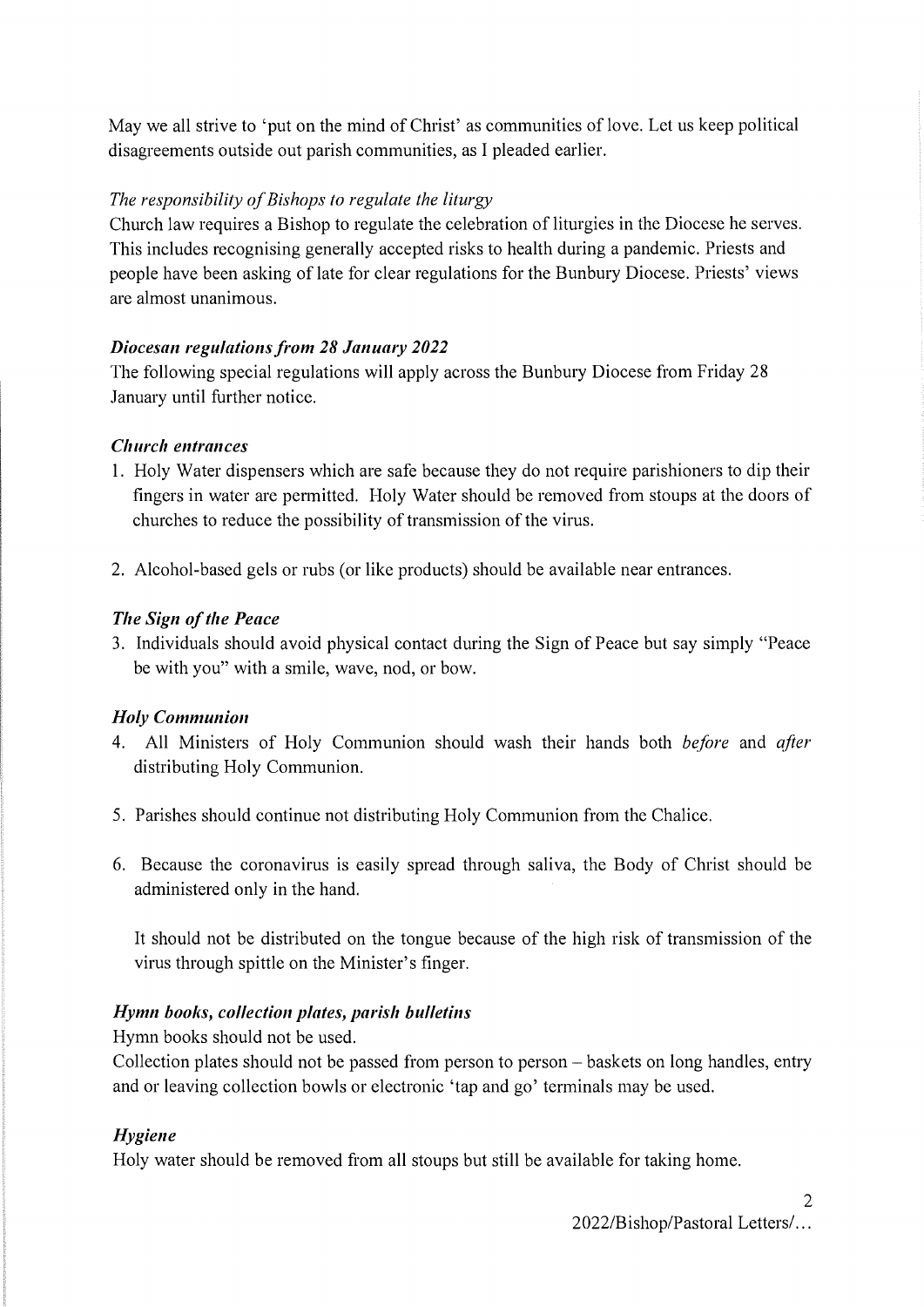May we all strive to 'put on the mind of Christ' as communities of love. Let us keep political disagreements outside out parish communities, as I pleaded earlier.

#### The responsibility of Bishops to regulate the liturgy

Church law requires a Bishop to regulate the celebration of liturgies in the Diocese he serves. This includes recognising generally accepted risks to health during a pandemic. Priests and people have been asking of late for clear regulations for the Bunbury Diocese. Priests' views are almost unanimous.

#### Diocesan regulations from 28 January 2022

The following special regulations will apply across the Bunbury Diocese from Friday 28 January until further notice.

#### **Church entrances**

- 1. Holy Water dispensers which are safe because they do not require parishioners to dip their fingers in water are permitted. Holy Water should be removed from stoups at the doors of churches to reduce the possibility of transmission of the virus.
- 2. Alcohol-based gels or rubs (or like products) should be available near entrances.

### The Sign of the Peace

3. Individuals should avoid physical contact during the Sign of Peace but say simply "Peace be with you" with a smile, wave, nod, or bow.

### **Holy Communion**

- 4. All Ministers of Holy Communion should wash their hands both before and after distributing Holy Communion.
- 5. Parishes should continue not distributing Holy Communion from the Chalice.
- 6. Because the coronavirus is easily spread through saliva, the Body of Christ should be administered only in the hand.

It should not be distributed on the tongue because of the high risk of transmission of the virus through spittle on the Minister's finger.

### Hymn books, collection plates, parish bulletins

Hymn books should not be used.

Collection plates should not be passed from person to person – baskets on long handles, entry and or leaving collection bowls or electronic 'tap and go' terminals may be used.

### Hygiene

Holy water should be removed from all stoups but still be available for taking home.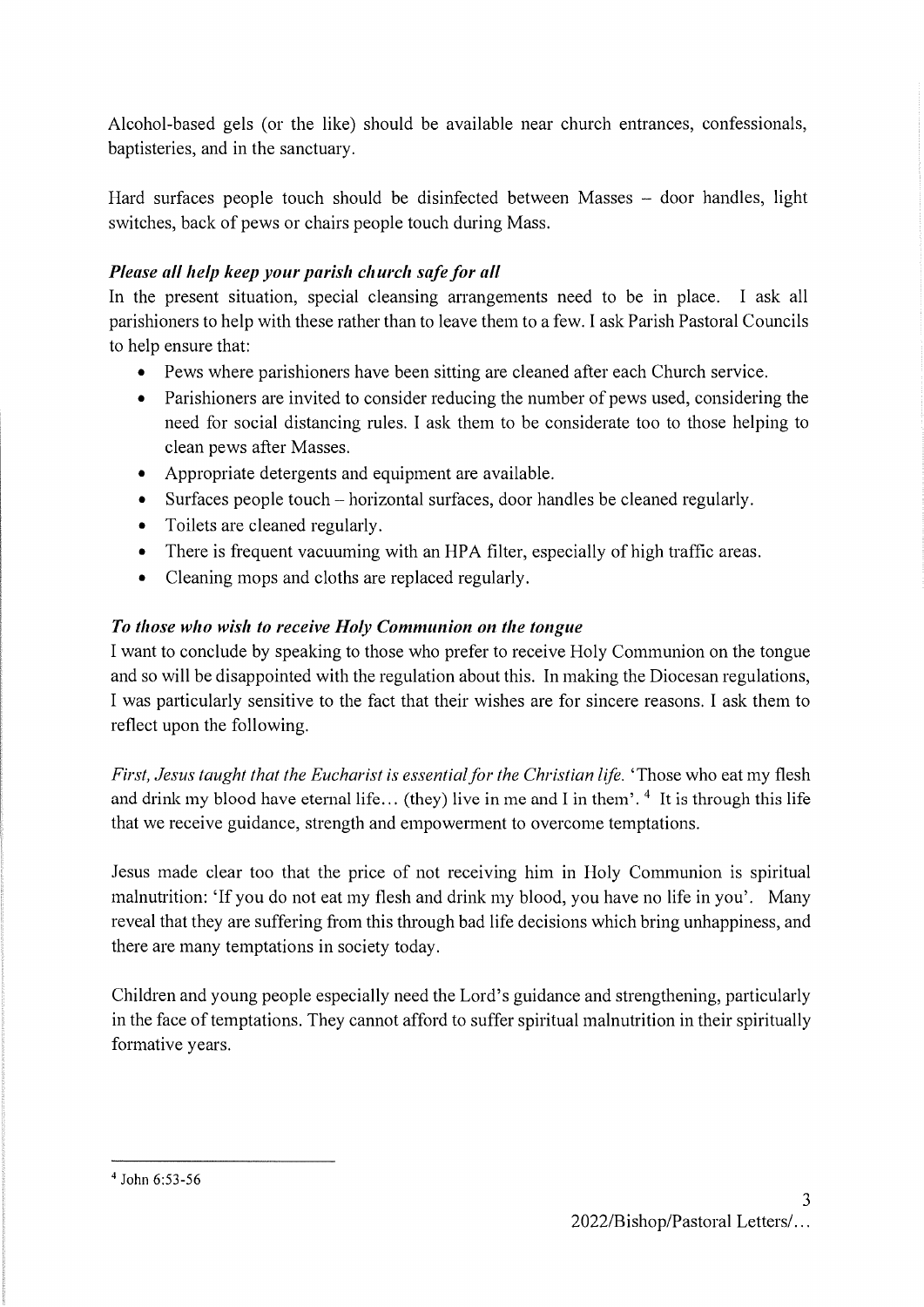Alcohol-based gels (or the like) should be available near church entrances, confessionals, baptisteries, and in the sanctuary.

Hard surfaces people touch should be disinfected between Masses – door handles, light switches, back of pews or chairs people touch during Mass.

### Please all help keep your parish church safe for all

In the present situation, special cleansing arrangements need to be in place. I ask all parishioners to help with these rather than to leave them to a few. I ask Parish Pastoral Councils to help ensure that:

- Pews where parishioners have been sitting are cleaned after each Church service.
- Parishioners are invited to consider reducing the number of pews used, considering the need for social distancing rules. I ask them to be considerate too to those helping to clean pews after Masses.
- Appropriate detergents and equipment are available.
- Surfaces people touch horizontal surfaces, door handles be cleaned regularly.
- Toilets are cleaned regularly.
- There is frequent vacuuming with an HPA filter, especially of high traffic areas.
- Cleaning mops and cloths are replaced regularly.

### To those who wish to receive Holy Communion on the tongue

I want to conclude by speaking to those who prefer to receive Holy Communion on the tongue and so will be disappointed with the regulation about this. In making the Diocesan regulations, I was particularly sensitive to the fact that their wishes are for sincere reasons. I ask them to reflect upon the following.

First, Jesus taught that the Eucharist is essential for the Christian life. 'Those who eat my flesh and drink my blood have eternal life... (they) live in me and I in them'.  $4$  It is through this life that we receive guidance, strength and empowerment to overcome temptations.

Jesus made clear too that the price of not receiving him in Holy Communion is spiritual malnutrition: 'If you do not eat my flesh and drink my blood, you have no life in you'. Many reveal that they are suffering from this through bad life decisions which bring unhappiness, and there are many temptations in society today.

Children and young people especially need the Lord's guidance and strengthening, particularly in the face of temptations. They cannot afford to suffer spiritual malnutrition in their spiritually formative years.

 $4$  John 6:53-56